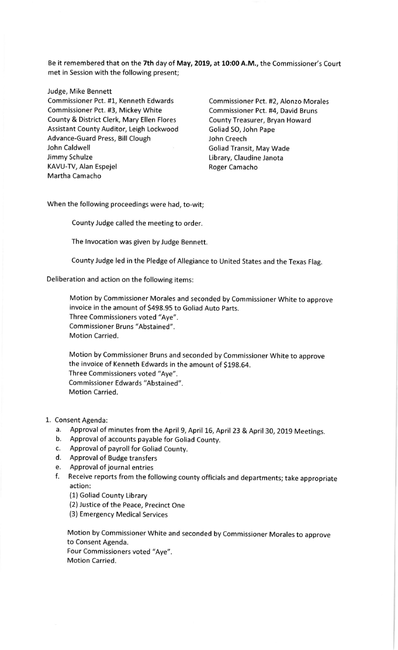Be it remembered that on the 7th day of May, 2019, at 10:00 A.M., the Commissioner's Court met in Session with the following present;

Judge, Mike Bennett

Commissioner Pct. #1, Kenneth Edwards Commissioner Pct. #2, Alonzo Morales Commissioner Pct. #3, Mickey White Commissioner Pct. #4, David Bruns County & District Clerk, Mary Ellen Flores County Treasurer, Bryan Howard Assistant County Auditor, Leigh Lockwood Goliad SO, John Pape Advance-Guard Press, Bill Clough Guard Dubin Creech<br>John Caldwell John Caldwell John Caldwell Jimmy Schulze **Library**, Claudine Janota KAVU-TV, Alan Espejel **Roger Camacho** Martha Camacho

Goliad Transit, May Wade

When the following proceedings were had, to-wit;

County Judge called the meeting to order.

The lnvocation was given by Judge Bennett.

County Judge led in the Pledge of Allegiance to United States and the Texas Flag.

Deliberation and action on the following items:

Motion by Commissioner Morales and seconded by Commissioner White to approve invoice in the amount of 5498.95 to Goliad Auto parts. Three Commissioners voted "Aye". Commissioner Bruns "Abstained". Motion Carried.

Motion by Commissioner Bruns and seconded by Commissioner White to approve the invoice of Kenneth Edwards in the amount of \$198.64. Three Commissioners voted "Aye". Commissioner Edwards "Abstained". Motion Carried.

- 1. Consent Agenda:
	- a. Approval of minutes from the April 9, April 16, April 23 & April 30, 2019 Meetings. b. Approval of accounts payable for Goliad County.
	-
	- c. Approval of payroll for Goliad County.
	- d. Approval of Budge transfers
	- e. Approval of journal entries
	- f. Receive reports from the following county officials and departments; take appropriate <sup>a</sup>ction:
		- (1) Goliad County Library
		- (2) Justice of the Peace, Precinct One
		- (3) Emergency Medical Services

Motion by commissioner white and seconded by commissioner Morales to approve to Consent Agenda. Four Commissioners voted "Aye". Motion Carried.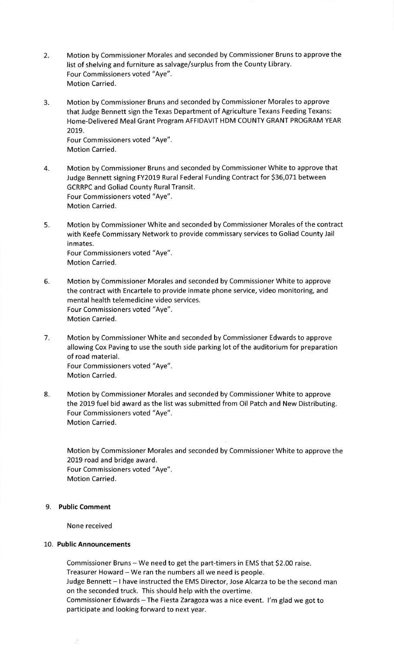- 2. Motion by Commissioner Morales and seconded by Commissioner Bruns to approve the list of shelving and furniture as salvage/surplus from the County Library. Four Commissioners voted "Aye". Motion Carried.
- 3. Motion by Commissioner Bruns and seconded by Commissioner Morales to approve that Judge Bennett sign the Texas Department of Agriculture Texans Feeding Texans: Home-Delivered Meal Grant Program AFFIDAVIT HDM COUNTY GRANT PROGRAM YEAR 20t9,

Four Commissioners voted "Aye". Motion Carried.

- 4. Motion by Commissioner Bruns and seconded by Commissioner White to approve that Judge Bennett signing FY2019 Rural Federal Funding Contract for 536,071 between GCRRPC and Goliad County Rural Transit. Four Commissioners voted "Aye". Motion Carried.
- 5. Motion by Commissioner White and seconded by Commissioner Morales of the contract with Keefe Commissary Network to provide commissary services to Goliad County Jail inmates. Four Commissioners voted "Aye". Motion Carried.
- 6. Motion by Commissioner Morales and seconded by Commissioner White to approve the contract with Encartele to provide inmate phone service, video monitoring, and mental health telemedicine video services. Four Commissioners voted "Aye". Motion Carried.
- 7. Motion by Commissioner White and seconded by Commissioner Edwards to approve allowing Cox Paving to use the south side parking lot of the auditorium for preparation of road material. Four Commissioners voted "Aye". Motion Carried.
- 8. Motion by Commissioner Morales and seconded by Commissioner White to approve the 2019 fuel bid award as the list was submitted from Oil Patch and New Distributing. Four Commissioners voted "Aye". Motion Carried.

Motion by Commissioner Morales and seconded by Commissioner White to approve the 2019 road and bridge award. Four Commissioners voted "Aye". Motion Carried.

## 9. Public Comment

None received

## 10. Public Announcements

Commissioner Bruns - We need to get the part-timers in EMS that \$2.00 raise. Treasurer Howard - We ran the numbers all we need is people. Judge Bennett - I have instructed the EMS Director, Jose Alcarza to be the second man on the seconded truck. This should help with the overtime. Commissioner Edwards - The Fiesta Zaragoza was a nice event. I'm glad we got to participate and looking forward to next year.